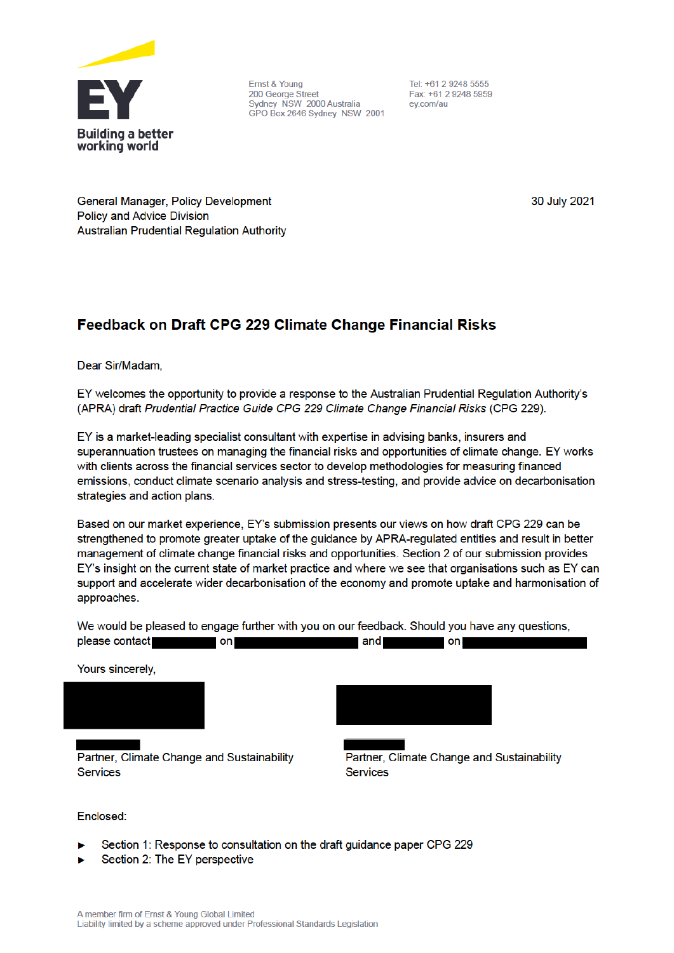

Ernst & Young 200 George Street Sydney NSW 2000 Australia GPO Box 2646 Sydney NSW 2001

Tel: +61 2 9248 5555 Fax: +61 2 9248 5959 ev.com/au

General Manager, Policy Development **Policy and Advice Division Australian Prudential Regulation Authority**  30 July 2021

# Feedback on Draft CPG 229 Climate Change Financial Risks

Dear Sir/Madam,

EY welcomes the opportunity to provide a response to the Australian Prudential Regulation Authority's (APRA) draft Prudential Practice Guide CPG 229 Climate Change Financial Risks (CPG 229).

EY is a market-leading specialist consultant with expertise in advising banks, insurers and superannuation trustees on managing the financial risks and opportunities of climate change. EY works with clients across the financial services sector to develop methodologies for measuring financed emissions, conduct climate scenario analysis and stress-testing, and provide advice on decarbonisation strategies and action plans.

Based on our market experience, EY's submission presents our views on how draft CPG 229 can be strengthened to promote greater uptake of the guidance by APRA-regulated entities and result in better management of climate change financial risks and opportunities. Section 2 of our submission provides EY's insight on the current state of market practice and where we see that organisations such as EY can support and accelerate wider decarbonisation of the economy and promote uptake and harmonisation of approaches.

We would be pleased to engage further with you on our feedback. Should you have any questions, please contact on and on Yours sincerely,



Partner, Climate Change and Sustainability **Services** 



Partner, Climate Change and Sustainability **Services** 

#### Enclosed:

- Section 1: Response to consultation on the draft guidance paper CPG 229
- Section 2: The EY perspective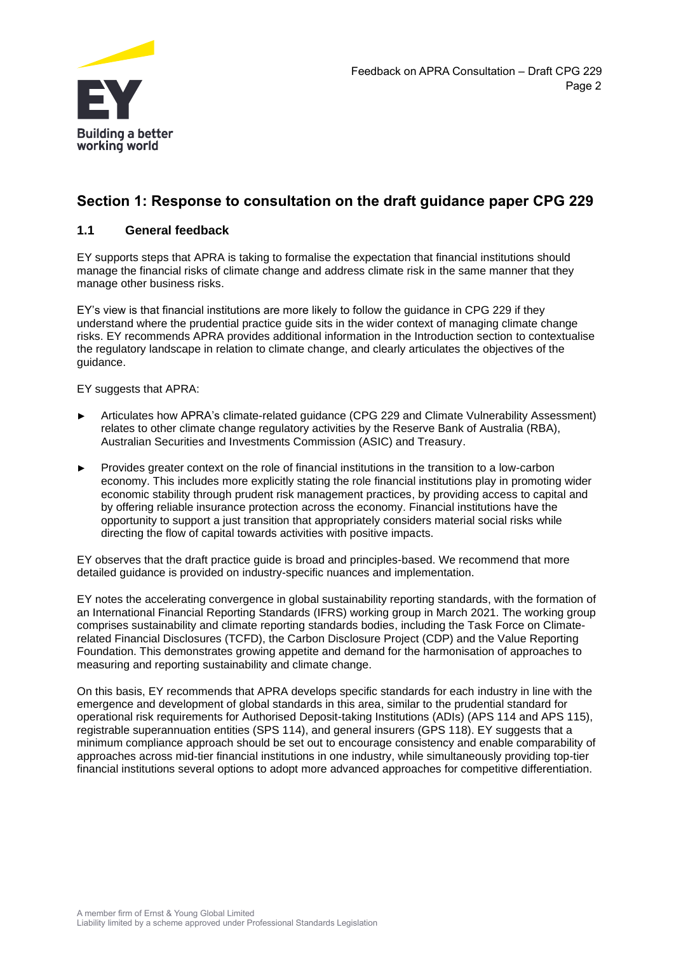

# **Section 1: Response to consultation on the draft guidance paper CPG 229**

### **1.1 General feedback**

EY supports steps that APRA is taking to formalise the expectation that financial institutions should manage the financial risks of climate change and address climate risk in the same manner that they manage other business risks.

EY's view is that financial institutions are more likely to follow the guidance in CPG 229 if they understand where the prudential practice guide sits in the wider context of managing climate change risks. EY recommends APRA provides additional information in the Introduction section to contextualise the regulatory landscape in relation to climate change, and clearly articulates the objectives of the guidance.

EY suggests that APRA:

- ► Articulates how APRA's climate-related guidance (CPG 229 and Climate Vulnerability Assessment) relates to other climate change regulatory activities by the Reserve Bank of Australia (RBA), Australian Securities and Investments Commission (ASIC) and Treasury.
- ► Provides greater context on the role of financial institutions in the transition to a low-carbon economy. This includes more explicitly stating the role financial institutions play in promoting wider economic stability through prudent risk management practices, by providing access to capital and by offering reliable insurance protection across the economy. Financial institutions have the opportunity to support a just transition that appropriately considers material social risks while directing the flow of capital towards activities with positive impacts.

EY observes that the draft practice guide is broad and principles-based. We recommend that more detailed guidance is provided on industry-specific nuances and implementation.

EY notes the accelerating convergence in global sustainability reporting standards, with the formation of an International Financial Reporting Standards (IFRS) working group in March 2021. The working group comprises sustainability and climate reporting standards bodies, including the Task Force on Climaterelated Financial Disclosures (TCFD), the Carbon Disclosure Project (CDP) and the Value Reporting Foundation. This demonstrates growing appetite and demand for the harmonisation of approaches to measuring and reporting sustainability and climate change.

On this basis, EY recommends that APRA develops specific standards for each industry in line with the emergence and development of global standards in this area, similar to the prudential standard for operational risk requirements for Authorised Deposit-taking Institutions (ADIs) (APS 114 and APS 115), registrable superannuation entities (SPS 114), and general insurers (GPS 118). EY suggests that a minimum compliance approach should be set out to encourage consistency and enable comparability of approaches across mid-tier financial institutions in one industry, while simultaneously providing top-tier financial institutions several options to adopt more advanced approaches for competitive differentiation.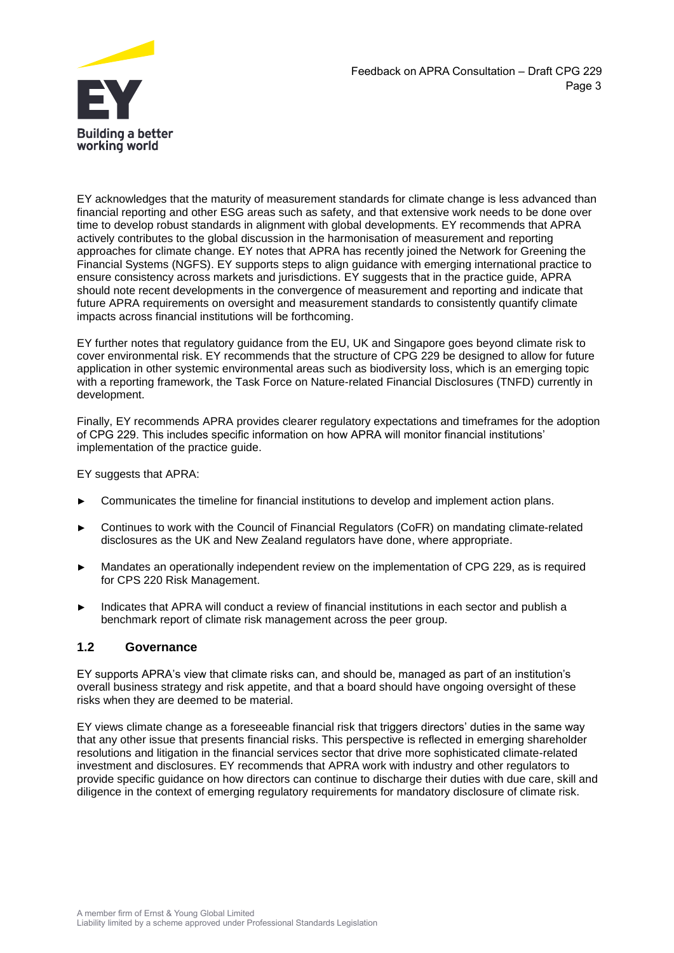

EY acknowledges that the maturity of measurement standards for climate change is less advanced than financial reporting and other ESG areas such as safety, and that extensive work needs to be done over time to develop robust standards in alignment with global developments. EY recommends that APRA actively contributes to the global discussion in the harmonisation of measurement and reporting approaches for climate change. EY notes that APRA has recently joined the Network for Greening the Financial Systems (NGFS). EY supports steps to align guidance with emerging international practice to ensure consistency across markets and jurisdictions. EY suggests that in the practice guide, APRA should note recent developments in the convergence of measurement and reporting and indicate that future APRA requirements on oversight and measurement standards to consistently quantify climate impacts across financial institutions will be forthcoming.

EY further notes that regulatory guidance from the EU, UK and Singapore goes beyond climate risk to cover environmental risk. EY recommends that the structure of CPG 229 be designed to allow for future application in other systemic environmental areas such as biodiversity loss, which is an emerging topic with a reporting framework, the Task Force on Nature-related Financial Disclosures (TNFD) currently in development.

Finally, EY recommends APRA provides clearer regulatory expectations and timeframes for the adoption of CPG 229. This includes specific information on how APRA will monitor financial institutions' implementation of the practice guide.

EY suggests that APRA:

- Communicates the timeline for financial institutions to develop and implement action plans.
- ► Continues to work with the Council of Financial Regulators (CoFR) on mandating climate-related disclosures as the UK and New Zealand regulators have done, where appropriate.
- Mandates an operationally independent review on the implementation of CPG 229, as is required for CPS 220 Risk Management.
- Indicates that APRA will conduct a review of financial institutions in each sector and publish a benchmark report of climate risk management across the peer group.

#### **1.2 Governance**

EY supports APRA's view that climate risks can, and should be, managed as part of an institution's overall business strategy and risk appetite, and that a board should have ongoing oversight of these risks when they are deemed to be material.

EY views climate change as a foreseeable financial risk that triggers directors' duties in the same way that any other issue that presents financial risks. This perspective is reflected in emerging shareholder resolutions and litigation in the financial services sector that drive more sophisticated climate-related investment and disclosures. EY recommends that APRA work with industry and other regulators to provide specific guidance on how directors can continue to discharge their duties with due care, skill and diligence in the context of emerging regulatory requirements for mandatory disclosure of climate risk.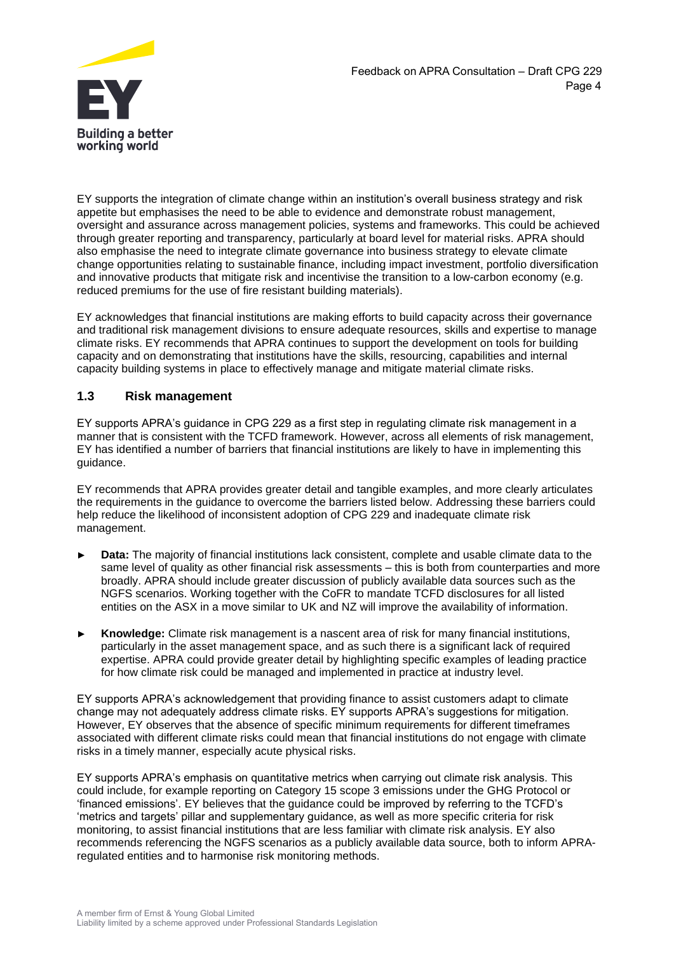

EY supports the integration of climate change within an institution's overall business strategy and risk appetite but emphasises the need to be able to evidence and demonstrate robust management, oversight and assurance across management policies, systems and frameworks. This could be achieved through greater reporting and transparency, particularly at board level for material risks. APRA should also emphasise the need to integrate climate governance into business strategy to elevate climate change opportunities relating to sustainable finance, including impact investment, portfolio diversification and innovative products that mitigate risk and incentivise the transition to a low-carbon economy (e.g. reduced premiums for the use of fire resistant building materials).

EY acknowledges that financial institutions are making efforts to build capacity across their governance and traditional risk management divisions to ensure adequate resources, skills and expertise to manage climate risks. EY recommends that APRA continues to support the development on tools for building capacity and on demonstrating that institutions have the skills, resourcing, capabilities and internal capacity building systems in place to effectively manage and mitigate material climate risks.

# **1.3 Risk management**

EY supports APRA's guidance in CPG 229 as a first step in regulating climate risk management in a manner that is consistent with the TCFD framework. However, across all elements of risk management, EY has identified a number of barriers that financial institutions are likely to have in implementing this guidance.

EY recommends that APRA provides greater detail and tangible examples, and more clearly articulates the requirements in the guidance to overcome the barriers listed below. Addressing these barriers could help reduce the likelihood of inconsistent adoption of CPG 229 and inadequate climate risk management.

- **Data:** The majority of financial institutions lack consistent, complete and usable climate data to the same level of quality as other financial risk assessments – this is both from counterparties and more broadly. APRA should include greater discussion of publicly available data sources such as the NGFS scenarios. Working together with the CoFR to mandate TCFD disclosures for all listed entities on the ASX in a move similar to UK and NZ will improve the availability of information.
- ► **Knowledge:** Climate risk management is a nascent area of risk for many financial institutions, particularly in the asset management space, and as such there is a significant lack of required expertise. APRA could provide greater detail by highlighting specific examples of leading practice for how climate risk could be managed and implemented in practice at industry level.

EY supports APRA's acknowledgement that providing finance to assist customers adapt to climate change may not adequately address climate risks. EY supports APRA's suggestions for mitigation. However, EY observes that the absence of specific minimum requirements for different timeframes associated with different climate risks could mean that financial institutions do not engage with climate risks in a timely manner, especially acute physical risks.

EY supports APRA's emphasis on quantitative metrics when carrying out climate risk analysis. This could include, for example reporting on Category 15 scope 3 emissions under the GHG Protocol or 'financed emissions'. EY believes that the guidance could be improved by referring to the TCFD's 'metrics and targets' pillar and supplementary guidance, as well as more specific criteria for risk monitoring, to assist financial institutions that are less familiar with climate risk analysis. EY also recommends referencing the NGFS scenarios as a publicly available data source, both to inform APRAregulated entities and to harmonise risk monitoring methods.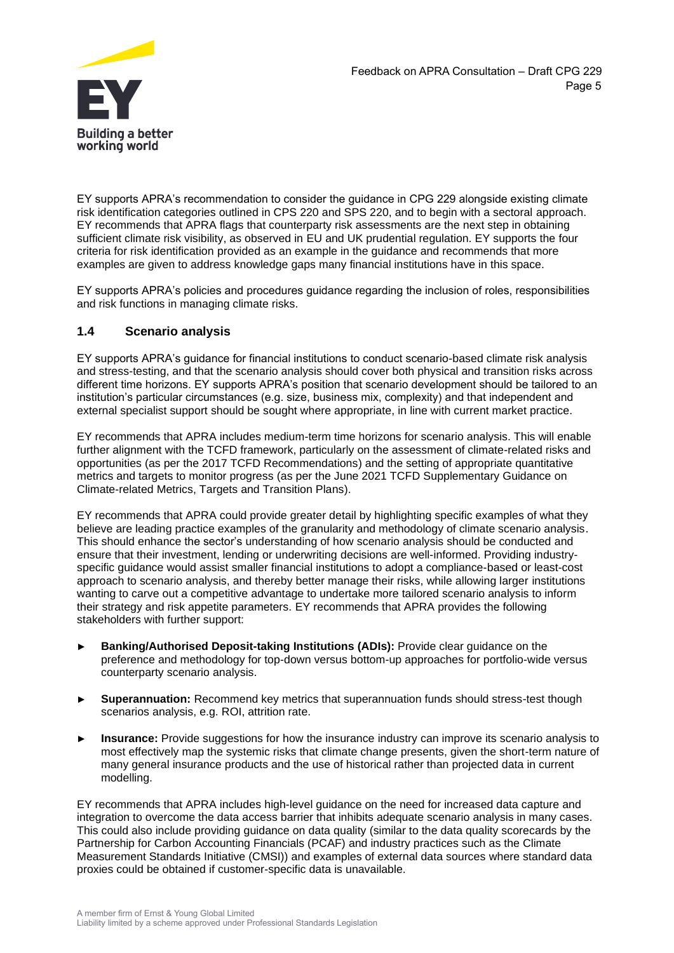

EY supports APRA's recommendation to consider the guidance in CPG 229 alongside existing climate risk identification categories outlined in CPS 220 and SPS 220, and to begin with a sectoral approach. EY recommends that APRA flags that counterparty risk assessments are the next step in obtaining sufficient climate risk visibility, as observed in EU and UK prudential regulation. EY supports the four criteria for risk identification provided as an example in the guidance and recommends that more examples are given to address knowledge gaps many financial institutions have in this space.

EY supports APRA's policies and procedures guidance regarding the inclusion of roles, responsibilities and risk functions in managing climate risks.

# **1.4 Scenario analysis**

EY supports APRA's guidance for financial institutions to conduct scenario-based climate risk analysis and stress-testing, and that the scenario analysis should cover both physical and transition risks across different time horizons. EY supports APRA's position that scenario development should be tailored to an institution's particular circumstances (e.g. size, business mix, complexity) and that independent and external specialist support should be sought where appropriate, in line with current market practice.

EY recommends that APRA includes medium-term time horizons for scenario analysis. This will enable further alignment with the TCFD framework, particularly on the assessment of climate-related risks and opportunities (as per the 2017 TCFD Recommendations) and the setting of appropriate quantitative metrics and targets to monitor progress (as per the June 2021 TCFD Supplementary Guidance on Climate-related Metrics, Targets and Transition Plans).

EY recommends that APRA could provide greater detail by highlighting specific examples of what they believe are leading practice examples of the granularity and methodology of climate scenario analysis. This should enhance the sector's understanding of how scenario analysis should be conducted and ensure that their investment, lending or underwriting decisions are well-informed. Providing industryspecific guidance would assist smaller financial institutions to adopt a compliance-based or least-cost approach to scenario analysis, and thereby better manage their risks, while allowing larger institutions wanting to carve out a competitive advantage to undertake more tailored scenario analysis to inform their strategy and risk appetite parameters. EY recommends that APRA provides the following stakeholders with further support:

- ► **Banking/Authorised Deposit-taking Institutions (ADIs):** Provide clear guidance on the preference and methodology for top-down versus bottom-up approaches for portfolio-wide versus counterparty scenario analysis.
- **Superannuation:** Recommend key metrics that superannuation funds should stress-test though scenarios analysis, e.g. ROI, attrition rate.
- **Insurance:** Provide suggestions for how the insurance industry can improve its scenario analysis to most effectively map the systemic risks that climate change presents, given the short-term nature of many general insurance products and the use of historical rather than projected data in current modelling.

EY recommends that APRA includes high-level guidance on the need for increased data capture and integration to overcome the data access barrier that inhibits adequate scenario analysis in many cases. This could also include providing guidance on data quality (similar to the data quality scorecards by the Partnership for Carbon Accounting Financials (PCAF) and industry practices such as the Climate Measurement Standards Initiative (CMSI)) and examples of external data sources where standard data proxies could be obtained if customer-specific data is unavailable.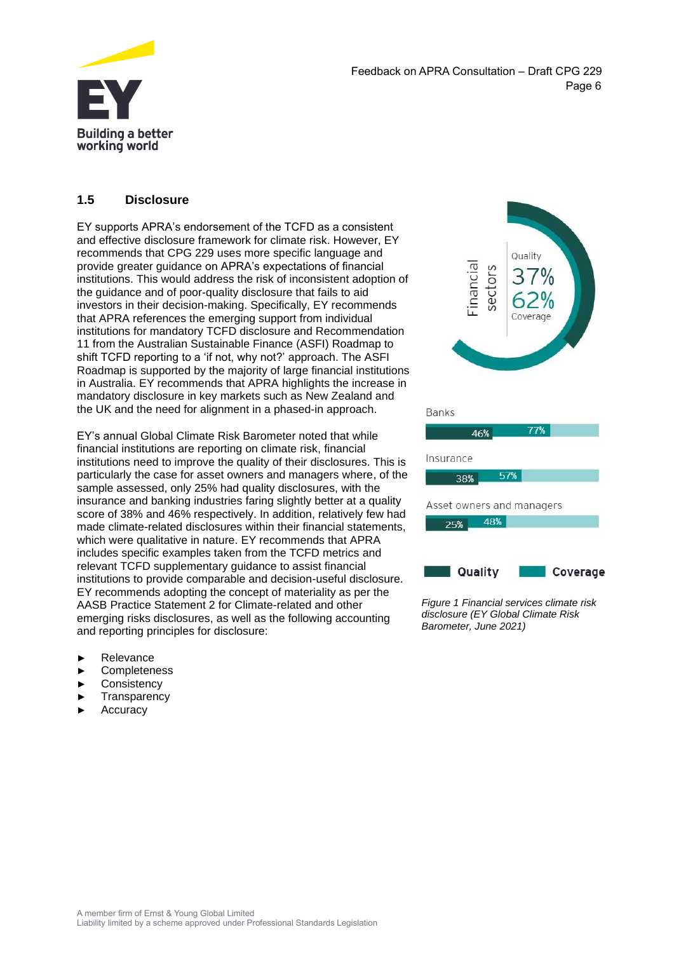

Feedback on APRA Consultation – Draft CPG 229 Page 6

# **1.5 Disclosure**

EY supports APRA's endorsement of the TCFD as a consistent and effective disclosure framework for climate risk. However, EY recommends that CPG 229 uses more specific language and provide greater guidance on APRA's expectations of financial institutions. This would address the risk of inconsistent adoption of the guidance and of poor-quality disclosure that fails to aid investors in their decision-making. Specifically, EY recommends that APRA references the emerging support from individual institutions for mandatory TCFD disclosure and Recommendation 11 from the Australian Sustainable Finance (ASFI) Roadmap to shift TCFD reporting to a 'if not, why not?' approach. The ASFI Roadmap is supported by the majority of large financial institutions in Australia. EY recommends that APRA highlights the increase in mandatory disclosure in key markets such as New Zealand and the UK and the need for alignment in a phased-in approach.

EY's annual Global Climate Risk Barometer noted that while financial institutions are reporting on climate risk, financial institutions need to improve the quality of their disclosures. This is particularly the case for asset owners and managers where, of the sample assessed, only 25% had quality disclosures, with the insurance and banking industries faring slightly better at a quality score of 38% and 46% respectively. In addition, relatively few had made climate-related disclosures within their financial statements, which were qualitative in nature. EY recommends that APRA includes specific examples taken from the TCFD metrics and relevant TCFD supplementary guidance to assist financial institutions to provide comparable and decision-useful disclosure. EY recommends adopting the concept of materiality as per the AASB Practice Statement 2 for Climate-related and other emerging risks disclosures, as well as the following accounting and reporting principles for disclosure:

- **Relevance**
- **Completeness**
- **Consistency**
- **Transparency**
- **Accuracy**





*Figure 1 Financial services climate risk disclosure (EY Global Climate Risk Barometer, June 2021)*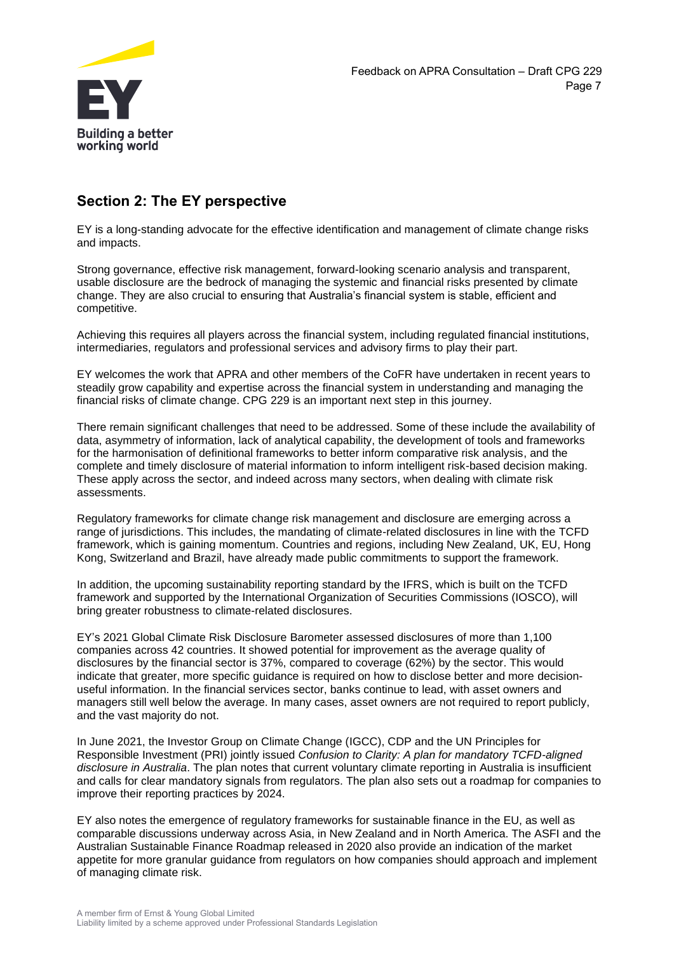

# **Section 2: The EY perspective**

EY is a long-standing advocate for the effective identification and management of climate change risks and impacts.

Strong governance, effective risk management, forward-looking scenario analysis and transparent, usable disclosure are the bedrock of managing the systemic and financial risks presented by climate change. They are also crucial to ensuring that Australia's financial system is stable, efficient and competitive.

Achieving this requires all players across the financial system, including regulated financial institutions, intermediaries, regulators and professional services and advisory firms to play their part.

EY welcomes the work that APRA and other members of the CoFR have undertaken in recent years to steadily grow capability and expertise across the financial system in understanding and managing the financial risks of climate change. CPG 229 is an important next step in this journey.

There remain significant challenges that need to be addressed. Some of these include the availability of data, asymmetry of information, lack of analytical capability, the development of tools and frameworks for the harmonisation of definitional frameworks to better inform comparative risk analysis, and the complete and timely disclosure of material information to inform intelligent risk-based decision making. These apply across the sector, and indeed across many sectors, when dealing with climate risk assessments.

Regulatory frameworks for climate change risk management and disclosure are emerging across a range of jurisdictions. This includes, the mandating of climate-related disclosures in line with the TCFD framework, which is gaining momentum. Countries and regions, including New Zealand, UK, EU, Hong Kong, Switzerland and Brazil, have already made public commitments to support the framework.

In addition, the upcoming sustainability reporting standard by the IFRS, which is built on the TCFD framework and supported by the International Organization of Securities Commissions (IOSCO), will bring greater robustness to climate-related disclosures.

EY's 2021 Global Climate Risk Disclosure Barometer assessed disclosures of more than 1,100 companies across 42 countries. It showed potential for improvement as the average quality of disclosures by the financial sector is 37%, compared to coverage (62%) by the sector. This would indicate that greater, more specific guidance is required on how to disclose better and more decisionuseful information. In the financial services sector, banks continue to lead, with asset owners and managers still well below the average. In many cases, asset owners are not required to report publicly, and the vast majority do not.

In June 2021, the Investor Group on Climate Change (IGCC), CDP and the UN Principles for Responsible Investment (PRI) jointly issued *Confusion to Clarity: A plan for mandatory TCFD-aligned disclosure in Australia*. The plan notes that current voluntary climate reporting in Australia is insufficient and calls for clear mandatory signals from regulators. The plan also sets out a roadmap for companies to improve their reporting practices by 2024.

EY also notes the emergence of regulatory frameworks for sustainable finance in the EU, as well as comparable discussions underway across Asia, in New Zealand and in North America. The ASFI and the Australian Sustainable Finance Roadmap released in 2020 also provide an indication of the market appetite for more granular guidance from regulators on how companies should approach and implement of managing climate risk.